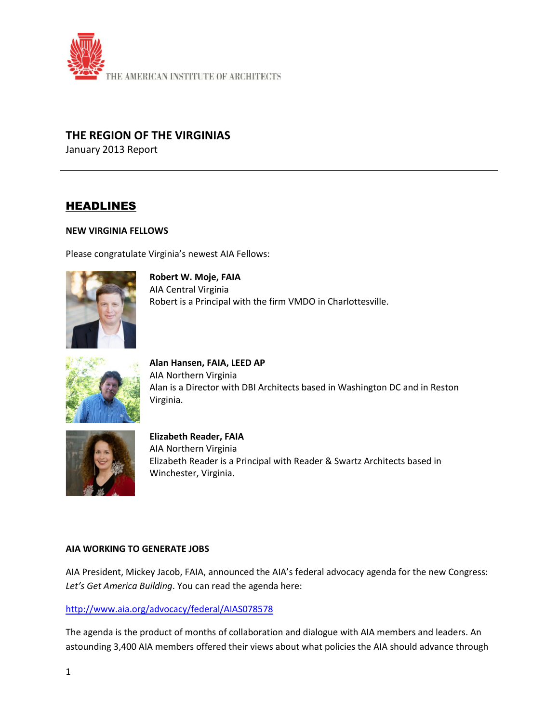

## **THE REGION OF THE VIRGINIAS**

January 2013 Report

# HEADLINES

#### **NEW VIRGINIA FELLOWS**

Please congratulate Virginia's newest AIA Fellows:



**Robert W. Moje, FAIA** AIA Central Virginia Robert is a Principal with the firm VMDO in Charlottesville.



**Alan Hansen, FAIA, LEED AP** AIA Northern Virginia Alan is a Director with DBI Architects based in Washington DC and in Reston Virginia.



**Elizabeth Reader, FAIA** AIA Northern Virginia Elizabeth Reader is a Principal with Reader & Swartz Architects based in Winchester, Virginia.

#### **AIA WORKING TO GENERATE JOBS**

AIA President, Mickey Jacob, FAIA, announced the AIA's federal advocacy agenda for the new Congress: *Let's Get America Building*. You can read the agenda here:

## <http://www.aia.org/advocacy/federal/AIAS078578>

The agenda is the product of months of collaboration and dialogue with AIA members and leaders. An astounding 3,400 AIA members offered their views about what policies the AIA should advance through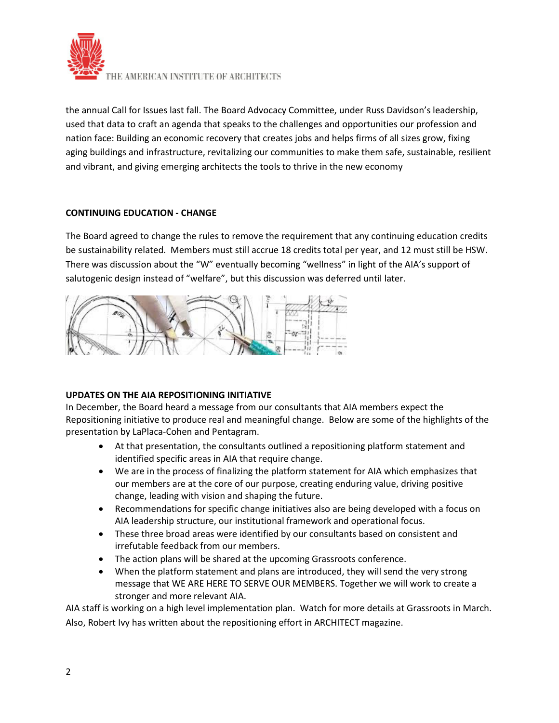

the annual Call for Issues last fall. The Board Advocacy Committee, under Russ Davidson's leadership, used that data to craft an agenda that speaks to the challenges and opportunities our profession and nation face: Building an economic recovery that creates jobs and helps firms of all sizes grow, fixing aging buildings and infrastructure, revitalizing our communities to make them safe, sustainable, resilient and vibrant, and giving emerging architects the tools to thrive in the new economy

## **CONTINUING EDUCATION - CHANGE**

The Board agreed to change the rules to remove the requirement that any continuing education credits be sustainability related. Members must still accrue 18 credits total per year, and 12 must still be HSW. There was discussion about the "W" eventually becoming "wellness" in light of the AIA's support of salutogenic design instead of "welfare", but this discussion was deferred until later.



## **UPDATES ON THE AIA REPOSITIONING INITIATIVE**

In December, the Board heard a message from our consultants that AIA members expect the Repositioning initiative to produce real and meaningful change. Below are some of the highlights of the presentation by LaPlaca-Cohen and Pentagram.

- At that presentation, the consultants outlined a repositioning platform statement and identified specific areas in AIA that require change.
- We are in the process of finalizing the platform statement for AIA which emphasizes that our members are at the core of our purpose, creating enduring value, driving positive change, leading with vision and shaping the future.
- Recommendations for specific change initiatives also are being developed with a focus on AIA leadership structure, our institutional framework and operational focus.
- These three broad areas were identified by our consultants based on consistent and irrefutable feedback from our members.
- The action plans will be shared at the upcoming Grassroots conference.
- When the platform statement and plans are introduced, they will send the very strong message that WE ARE HERE TO SERVE OUR MEMBERS. Together we will work to create a stronger and more relevant AIA.

AIA staff is working on a high level implementation plan. Watch for more details at Grassroots in March. Also, Robert Ivy has written about the repositioning effort in ARCHITECT magazine.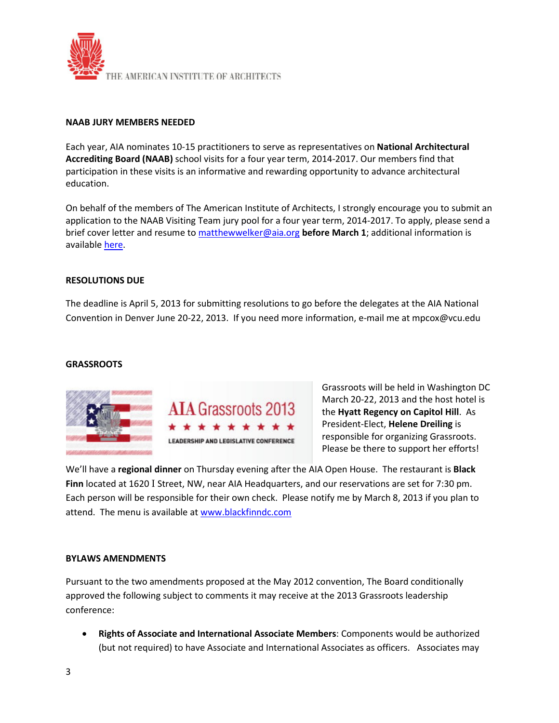

#### **NAAB JURY MEMBERS NEEDED**

Each year, AIA nominates 10-15 practitioners to serve as representatives on **National Architectural Accrediting Board (NAAB)** school visits for a four year term, 2014-2017. Our members find that participation in these visits is an informative and rewarding opportunity to advance architectural education.

On behalf of the members of The American Institute of Architects, I strongly encourage you to submit an application to the NAAB Visiting Team jury pool for a four year term, 2014-2017. To apply, please send a brief cover letter and resume to [matthewwelker@aia.org](mailto:matthewwelker@aia.org) **before March 1**; additional information is available [here.](http://www.aia.org/practicing/AIAB096804)

#### **RESOLUTIONS DUE**

The deadline is April 5, 2013 for submitting resolutions to go before the delegates at the AIA National Convention in Denver June 20-22, 2013. If you need more information, e-mail me at mpcox@vcu.edu

#### **GRASSROOTS**





Grassroots will be held in Washington DC March 20-22, 2013 and the host hotel is the **Hyatt Regency on Capitol Hill**. As President-Elect, **Helene Dreiling** is responsible for organizing Grassroots. Please be there to support her efforts!

We'll have a **regional dinner** on Thursday evening after the AIA Open House. The restaurant is **Black Finn** located at 1620 I Street, NW, near AIA Headquarters, and our reservations are set for 7:30 pm. Each person will be responsible for their own check. Please notify me by March 8, 2013 if you plan to attend. The menu is available a[t www.blackfinndc.com](http://www.blackfinndc.com/)

#### **BYLAWS AMENDMENTS**

Pursuant to the two amendments proposed at the May 2012 convention, The Board conditionally approved the following subject to comments it may receive at the 2013 Grassroots leadership conference:

• **Rights of Associate and International Associate Members**: Components would be authorized (but not required) to have Associate and International Associates as officers. Associates may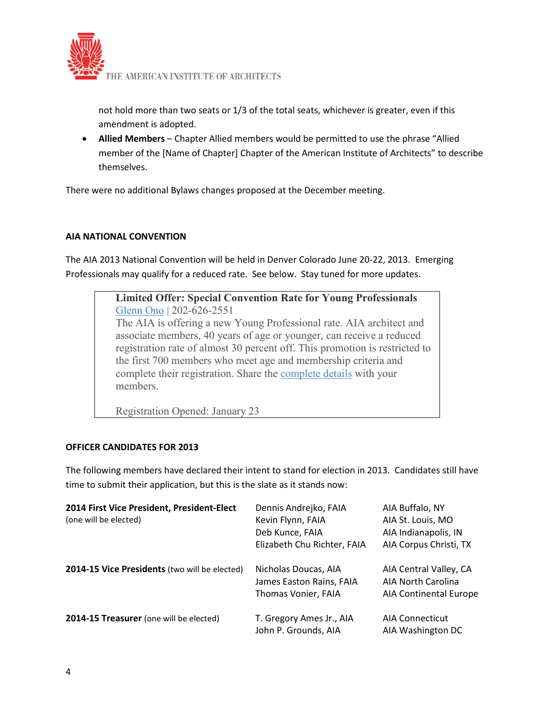

not hold more than two seats or 1/3 of the total seats, whichever is greater, even if this amendment is adopted.

• **Allied Members** – Chapter Allied members would be permitted to use the phrase "Allied member of the [Name of Chapter] Chapter of the American Institute of Architects" to describe themselves.

There were no additional Bylaws changes proposed at the December meeting.

## **AIA NATIONAL CONVENTION**

The AIA 2013 National Convention will be held in Denver Colorado June 20-22, 2013. Emerging Professionals may qualify for a reduced rate. See below. Stay tuned for more updates.



Registration Opened: January 23

## **OFFICER CANDIDATES FOR 2013**

The following members have declared their intent to stand for election in 2013. Candidates still have time to submit their application, but this is the slate as it stands now:

| 2014 First Vice President, President-Elect    | Dennis Andrejko, FAIA       | AIA Buffalo, NY        |
|-----------------------------------------------|-----------------------------|------------------------|
| (one will be elected)                         | Kevin Flynn, FAIA           | AIA St. Louis, MO      |
|                                               | Deb Kunce, FAIA             | AIA Indianapolis, IN   |
|                                               | Elizabeth Chu Richter, FAIA | AIA Corpus Christi, TX |
| 2014-15 Vice Presidents (two will be elected) | Nicholas Doucas, AIA        | AIA Central Valley, CA |
|                                               | James Easton Rains, FAIA    | AIA North Carolina     |
|                                               | Thomas Vonier, FAIA         | AIA Continental Europe |
| 2014-15 Treasurer (one will be elected)       | T. Gregory Ames Jr., AIA    | <b>AIA Connecticut</b> |
|                                               | John P. Grounds, AIA        | AIA Washington DC      |